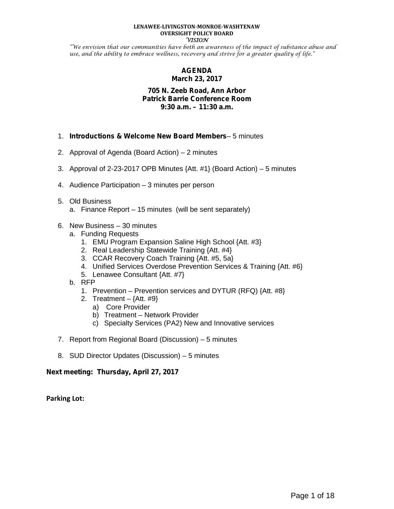#### **LENAWEE-LIVINGSTON-MONROE-WASHTENAW OVERSIGHT POLICY BOARD VISION**

"We envision that our communities have both an awareness of the impact of substance abuse and use, and the ability to embrace wellness, recovery and strive for a greater quality of life."

#### **AGENDA March 23, 2017**

#### **705 N. Zeeb Road, Ann Arbor Patrick Barrie Conference Room 9:30 a.m. – 11:30 a.m.**

- 1. *Introductions & Welcome New Board Members* 5 minutes
- 2. Approval of Agenda (Board Action) 2 minutes
- 3. Approval of 2-23-2017 OPB Minutes {Att. #1} (Board Action) 5 minutes
- 4. Audience Participation 3 minutes per person

#### 5. Old Business

- a. Finance Report 15 minutes (will be sent separately)
- 6. New Business 30 minutes
	- a. Funding Requests
		- 1. EMU Program Expansion Saline High School {Att. #3}
		- 2. Real Leadership Statewide Training {Att. #4}
		- 3. CCAR Recovery Coach Training {Att. #5, 5a}
		- 4. Unified Services Overdose Prevention Services & Training {Att. #6}
		- 5. Lenawee Consultant {Att. #7}
	- b. RFP
		- 1. Prevention Prevention services and DYTUR (RFQ) {Att. #8}
		- 2. Treatment  $-$  {Att. #9}
			- a) Core Provider
			- b) Treatment Network Provider
			- c) Specialty Services (PA2) New and Innovative services
- 7. Report from Regional Board (Discussion) 5 minutes
- 8. SUD Director Updates (Discussion) 5 minutes

#### **Next meeting: Thursday, April 27, 2017**

**Parking Lot:**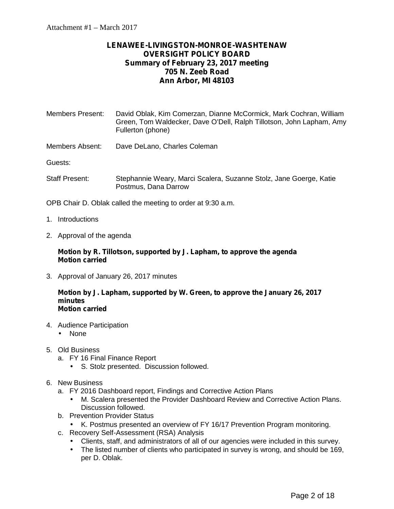#### **LENAWEE-LIVINGSTON-MONROE-WASHTENAW OVERSIGHT POLICY BOARD Summary of February 23, 2017 meeting 705 N. Zeeb Road Ann Arbor, MI 48103**

| <b>Members Present:</b> | David Oblak, Kim Comerzan, Dianne McCormick, Mark Cochran, William<br>Green, Tom Waldecker, Dave O'Dell, Ralph Tillotson, John Lapham, Amy<br>Fullerton (phone) |
|-------------------------|-----------------------------------------------------------------------------------------------------------------------------------------------------------------|
| Members Absent:         | Dave DeLano, Charles Coleman                                                                                                                                    |

Guests:

Staff Present: Stephannie Weary, Marci Scalera, Suzanne Stolz, Jane Goerge, Katie Postmus, Dana Darrow

OPB Chair D. Oblak called the meeting to order at 9:30 a.m.

- 1. Introductions
- 2. Approval of the agenda

#### **Motion by R. Tillotson, supported by J. Lapham, to approve the agenda Motion carried**

3. Approval of January 26, 2017 minutes

#### **Motion by J. Lapham, supported by W. Green, to approve the January 26, 2017 minutes Motion carried**

- 4. Audience Participation None
- 5. Old Business
	- a. FY 16 Final Finance Report
		- S. Stolz presented. Discussion followed.
- 6. New Business
	- a. FY 2016 Dashboard report, Findings and Corrective Action Plans
		- M. Scalera presented the Provider Dashboard Review and Corrective Action Plans. Discussion followed.
	- b. Prevention Provider Status
		- K. Postmus presented an overview of FY 16/17 Prevention Program monitoring.
	- c. Recovery Self-Assessment (RSA) Analysis
		- Clients, staff, and administrators of all of our agencies were included in this survey.<br>The listed number of clients who participated in survey is wrong, and should be 169
		- The listed number of clients who participated in survey is wrong, and should be 169, per D. Oblak.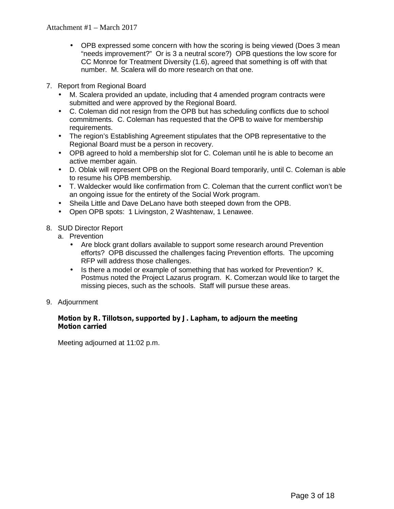- OPB expressed some concern with how the scoring is being viewed (Does 3 mean "needs improvement?" Or is 3 a neutral score?) OPB questions the low score for CC Monroe for Treatment Diversity (1.6), agreed that something is off with that number. M. Scalera will do more research on that one.
- 7. Report from Regional Board
	- M. Scalera provided an update, including that 4 amended program contracts were submitted and were approved by the Regional Board.
	- C. Coleman did not resign from the OPB but has scheduling conflicts due to school commitments. C. Coleman has requested that the OPB to waive for membership requirements.
	- The region's Establishing Agreement stipulates that the OPB representative to the Regional Board must be a person in recovery.
	- OPB agreed to hold a membership slot for C. Coleman until he is able to become an active member again.
	- D. Oblak will represent OPB on the Regional Board temporarily, until C. Coleman is able to resume his OPB membership.
	- T. Waldecker would like confirmation from C. Coleman that the current conflict won't be an ongoing issue for the entirety of the Social Work program.
	- Sheila Little and Dave DeLano have both steeped down from the OPB.
	- Open OPB spots: 1 Livingston, 2 Washtenaw, 1 Lenawee.
- 8. SUD Director Report
	- a. Prevention
		- Are block grant dollars available to support some research around Prevention efforts? OPB discussed the challenges facing Prevention efforts. The upcoming RFP will address those challenges.
		- Is there a model or example of something that has worked for Prevention?  $K$ . Postmus noted the Project Lazarus program. K. Comerzan would like to target the missing pieces, such as the schools. Staff will pursue these areas.
- 9. Adjournment

#### **Motion by R. Tillotson, supported by J. Lapham, to adjourn the meeting Motion carried**

Meeting adjourned at 11:02 p.m.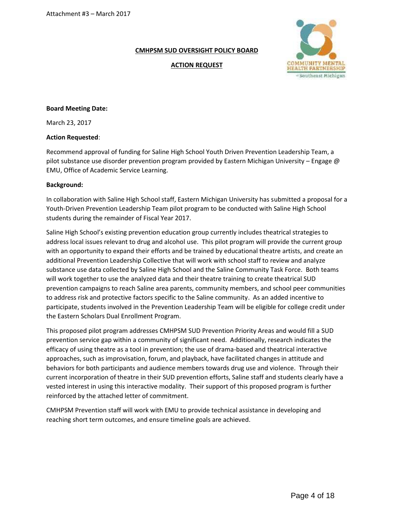**ACTION REQUEST**



#### **Board Meeting Date:**

March 23, 2017

#### **Action Requested**:

Recommend approval of funding for Saline High School Youth Driven Prevention Leadership Team, a pilot substance use disorder prevention program provided by Eastern Michigan University – Engage @ EMU, Office of Academic Service Learning.

#### **Background:**

In collaboration with Saline High School staff, Eastern Michigan University has submitted a proposal for a Youth-Driven Prevention Leadership Team pilot program to be conducted with Saline High School students during the remainder of Fiscal Year 2017.

Saline High School's existing prevention education group currently includes theatrical strategies to address local issues relevant to drug and alcohol use. This pilot program will provide the current group with an opportunity to expand their efforts and be trained by educational theatre artists, and create an additional Prevention Leadership Collective that will work with school staff to review and analyze substance use data collected by Saline High School and the Saline Community Task Force. Both teams will work together to use the analyzed data and their theatre training to create theatrical SUD prevention campaigns to reach Saline area parents, community members, and school peer communities to address risk and protective factors specific to the Saline community. As an added incentive to participate, students involved in the Prevention Leadership Team will be eligible for college credit under the Eastern Scholars Dual Enrollment Program.

This proposed pilot program addresses CMHPSM SUD Prevention Priority Areas and would fill a SUD prevention service gap within a community of significant need. Additionally, research indicates the efficacy of using theatre as a tool in prevention; the use of drama-based and theatrical interactive approaches, such as improvisation, forum, and playback, have facilitated changes in attitude and behaviors for both participants and audience members towards drug use and violence. Through their current incorporation of theatre in their SUD prevention efforts, Saline staff and students clearly have a vested interest in using this interactive modality. Their support of this proposed program is further reinforced by the attached letter of commitment.

CMHPSM Prevention staff will work with EMU to provide technical assistance in developing and reaching short term outcomes, and ensure timeline goals are achieved.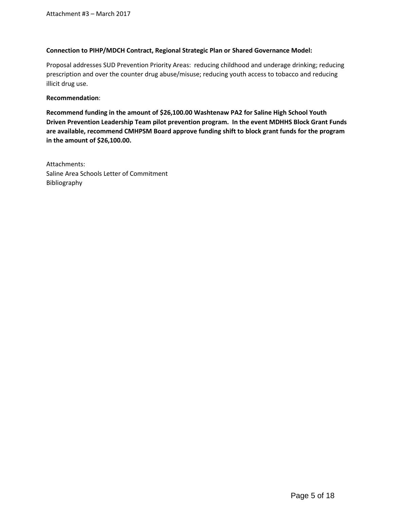#### **Connection to PIHP/MDCH Contract, Regional Strategic Plan or Shared Governance Model:**

Proposal addresses SUD Prevention Priority Areas: reducing childhood and underage drinking; reducing prescription and over the counter drug abuse/misuse; reducing youth access to tobacco and reducing illicit drug use.

#### **Recommendation**:

**Recommend funding in the amount of \$26,100.00 Washtenaw PA2 for Saline High School Youth Driven Prevention Leadership Team pilot prevention program. In the event MDHHS Block Grant Funds are available, recommend CMHPSM Board approve funding shift to block grant funds for the program in the amount of \$26,100.00.**

Attachments: Saline Area Schools Letter of Commitment Bibliography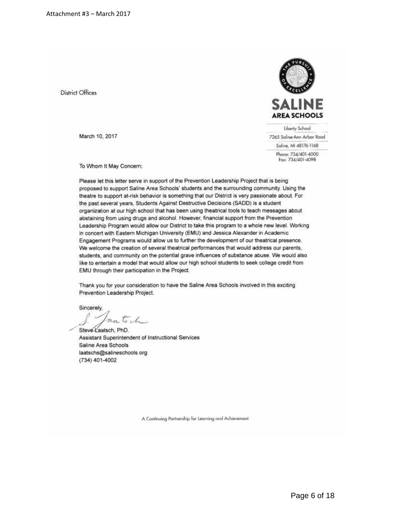**District Offices** 

March 10, 2017



Liberty School

7265 Saline-Ann Arbor Road

Saline, MI 48176-1168 Phone: 734/401-4000 Fax: 734/401-4098

To Whom It May Concern;

Please let this letter serve in support of the Prevention Leadership Project that is being proposed to support Saline Area Schools' students and the surrounding community. Using the theatre to support at-risk behavior is something that our District is very passionate about. For the past several years, Students Against Destructive Decisions (SADD) is a student organization at our high school that has been using theatrical tools to teach messages about abstaining from using drugs and alcohol. However, financial support from the Prevention Leadership Program would allow our District to take this program to a whole new level. Working in concert with Eastern Michigan University (EMU) and Jessica Alexander in Academic Engagement Programs would allow us to further the development of our theatrical presence. We welcome the creation of several theatrical performances that would address our parents, students, and community on the potential grave influences of substance abuse. We would also like to entertain a model that would allow our high school students to seek college credit from EMU through their participation in the Project.

Thank you for your consideration to have the Saline Area Schools involved in this exciting Prevention Leadership Project.

Sincerely, autich

Steve Laatsch, PhD. Assistant Superintendent of Instructional Services Saline Area Schools laatschs@salineschools.org (734) 401-4002

A Continuing Partnership for Learning and Achievement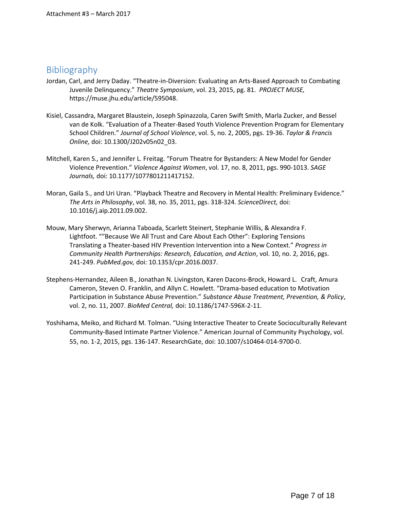#### Bibliography

- Jordan, Carl, and Jerry Daday. "Theatre-in-Diversion: Evaluating an Arts-Based Approach to Combating Juvenile Delinquency." *Theatre Symposium*, vol. 23, 2015, pg. 81. *PROJECT MUSE,* https://muse.jhu.edu/article/595048.
- Kisiel, Cassandra, Margaret Blaustein, Joseph Spinazzola, Caren Swift Smith, Marla Zucker, and Bessel van de Kolk. "Evaluation of a Theater-Based Youth Violence Prevention Program for Elementary School Children." *Journal of School Violence*, vol. 5, no. 2, 2005, pgs. 19-36. *Taylor & Francis Online,* doi: 10.1300/J202v05n02\_03.
- Mitchell, Karen S., and Jennifer L. Freitag. "Forum Theatre for Bystanders: A New Model for Gender Violence Prevention." *Violence Against Women*, vol. 17, no. 8, 2011, pgs. 990-1013. *SAGE Journals,* doi: 10.1177/1077801211417152.
- Moran, Gaila S., and Uri Uran. "Playback Theatre and Recovery in Mental Health: Preliminary Evidence." *The Arts in Philosophy*, vol. 38, no. 35, 2011, pgs. 318-324. *ScienceDirect,* doi: 10.1016/j.aip.2011.09.002.
- Mouw, Mary Sherwyn, Arianna Taboada, Scarlett Steinert, Stephanie Willis, & Alexandra F. Lightfoot. ""Because We All Trust and Care About Each Other": Exploring Tensions Translating a Theater-based HIV Prevention Intervention into a New Context." *Progress in Community Health Partnerships: Research, Education, and Action*, vol. 10, no. 2, 2016, pgs. 241-249. *PubMed.gov,* doi: 10.1353/cpr.2016.0037.
- Stephens-Hernandez, Aileen B., Jonathan N. Livingston, Karen Dacons-Brock, Howard L. Craft, Amura Cameron, Steven O. Franklin, and Allyn C. Howlett. "Drama-based education to Motivation Participation in Substance Abuse Prevention." *Substance Abuse Treatment, Prevention, & Policy*, vol. 2, no. 11, 2007. *BioMed Central,* doi: 10.1186/1747-596X-2-11.
- Yoshihama, Meiko, and Richard M. Tolman. "Using Interactive Theater to Create Socioculturally Relevant Community-Based Intimate Partner Violence." American Journal of Community Psychology, vol. 55, no. 1-2, 2015, pgs. 136-147. ResearchGate, doi: 10.1007/s10464-014-9700-0.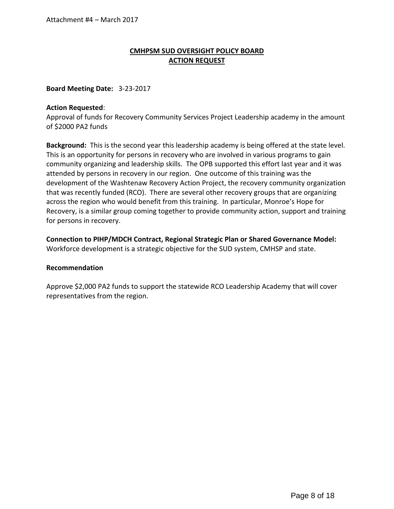#### **CMHPSM SUD OVERSIGHT POLICY BOARD ACTION REQUEST**

#### **Board Meeting Date:** 3-23-2017

#### **Action Requested**:

Approval of funds for Recovery Community Services Project Leadership academy in the amount of \$2000 PA2 funds

**Background:** This is the second year this leadership academy is being offered at the state level. This is an opportunity for persons in recovery who are involved in various programs to gain community organizing and leadership skills. The OPB supported this effort last year and it was attended by persons in recovery in our region. One outcome of this training was the development of the Washtenaw Recovery Action Project, the recovery community organization that was recently funded (RCO). There are several other recovery groups that are organizing across the region who would benefit from this training. In particular, Monroe's Hope for Recovery, is a similar group coming together to provide community action, support and training for persons in recovery.

**Connection to PIHP/MDCH Contract, Regional Strategic Plan or Shared Governance Model:** Workforce development is a strategic objective for the SUD system, CMHSP and state.

#### **Recommendation**

Approve \$2,000 PA2 funds to support the statewide RCO Leadership Academy that will cover representatives from the region.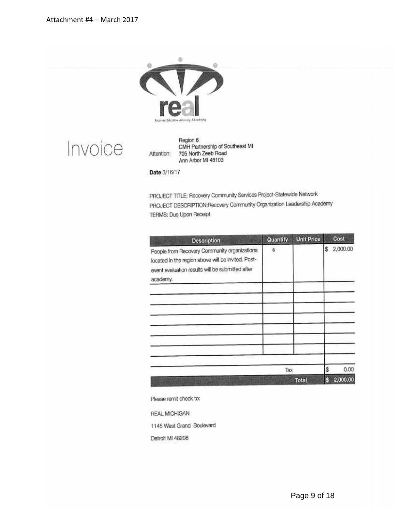

Invoice

Region 6 CMH Partnership of Southeast MI 705 North Zeeb Road Attention: Ann Arbor MI 48103

Date 3/16/17

PROJECT TITLE: Recovery Community Services Project-Statewide Network PROJECT DESCRIPTION:Recovery Community Organization Leadership Academy TERMS: Due Upon Receipt

| <b>Description</b>                                                                                                                                                 | Quantity | <b>Unit Price</b> |          | Cost             |
|--------------------------------------------------------------------------------------------------------------------------------------------------------------------|----------|-------------------|----------|------------------|
| People from Recovery Community organizations<br>located in the region above will be invited. Post-<br>event evaluation results will be submitted after<br>academy. | 6        |                   | \$       | 2,000.00         |
|                                                                                                                                                                    |          |                   |          |                  |
|                                                                                                                                                                    |          |                   |          |                  |
|                                                                                                                                                                    | Tax      | <b>Total</b>      | \$<br>\$ | 0.00<br>2,000.00 |

Please remit check to:

REAL MICHIGAN

1145 West Grand Boulevard

Detroit MI 48208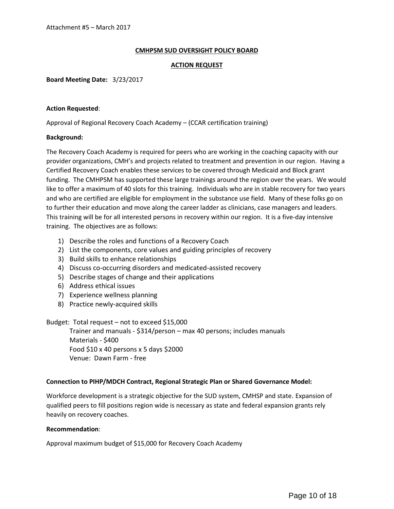#### **ACTION REQUEST**

**Board Meeting Date:** 3/23/2017

#### **Action Requested**:

Approval of Regional Recovery Coach Academy – (CCAR certification training)

#### **Background:**

The Recovery Coach Academy is required for peers who are working in the coaching capacity with our provider organizations, CMH's and projects related to treatment and prevention in our region. Having a Certified Recovery Coach enables these services to be covered through Medicaid and Block grant funding. The CMHPSM has supported these large trainings around the region over the years. We would like to offer a maximum of 40 slots for this training. Individuals who are in stable recovery for two years and who are certified are eligible for employment in the substance use field. Many of these folks go on to further their education and move along the career ladder as clinicians, case managers and leaders. This training will be for all interested persons in recovery within our region. It is a five-day intensive training. The objectives are as follows:

- 1) Describe the roles and functions of a Recovery Coach
- 2) List the components, core values and guiding principles of recovery
- 3) Build skills to enhance relationships
- 4) Discuss co-occurring disorders and medicated-assisted recovery
- 5) Describe stages of change and their applications
- 6) Address ethical issues
- 7) Experience wellness planning
- 8) Practice newly-acquired skills

Budget: Total request – not to exceed \$15,000

Trainer and manuals - \$314/person – max 40 persons; includes manuals Materials - \$400 Food \$10 x 40 persons x 5 days \$2000 Venue: Dawn Farm - free

#### **Connection to PIHP/MDCH Contract, Regional Strategic Plan or Shared Governance Model:**

Workforce development is a strategic objective for the SUD system, CMHSP and state. Expansion of qualified peers to fill positions region wide is necessary as state and federal expansion grants rely heavily on recovery coaches.

#### **Recommendation**:

Approval maximum budget of \$15,000 for Recovery Coach Academy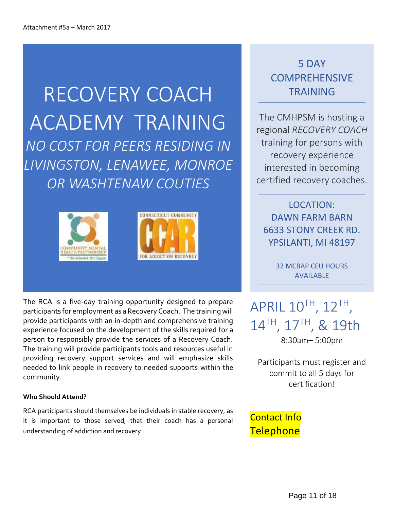RECOVERY COACH ACADEMY TRAINING *NO COST FOR PEERS RESIDING IN LIVINGSTON, LENAWEE, MONROE OR WASHTENAW COUTIES*



The RCA is a five-day training opportunity designed to prepare participants for employment as a Recovery Coach. The training will provide participants with an in-depth and comprehensive training experience focused on the development of the skills required for a person to responsibly provide the services of a Recovery Coach. The training will provide participants tools and resources useful in providing recovery support services and will emphasize skills needed to link people in recovery to needed supports within the community.

#### **Who Should Attend?**

RCA participants should themselves be individuals in stable recovery, as it is important to those served, that their coach has a personal understanding of addiction and recovery.

# 5 DAY **COMPREHENSIVE** TRAINING

The CMHPSM is hosting a regional *RECOVERY COACH* training for persons with recovery experience interested in becoming certified recovery coaches.

LOCATION: DAWN FARM BARN 6633 STONY CREEK RD. YPSILANTI, MI 48197

> 32 MCBAP CEU HOURS AVAILABLE

 $\mathsf{APRIL}\ 10^{\mathsf{TH}}$ ,  $12^{\mathsf{TH}}$ , 14TH, 17TH, & 19th 8:30am– 5:00pm

Participants must register and commit to all 5 days for certification!

### Contact Info **Telephone**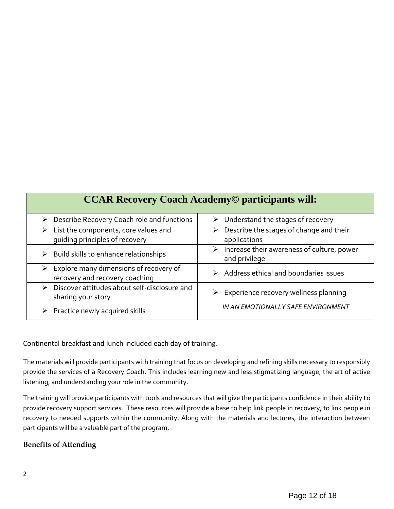| <b>CCAR Recovery Coach Academy© participants will:</b>                                    |                                                                  |  |  |  |  |
|-------------------------------------------------------------------------------------------|------------------------------------------------------------------|--|--|--|--|
| ▶ Describe Recovery Coach role and functions                                              | $\triangleright$ Understand the stages of recovery               |  |  |  |  |
| $\triangleright$ List the components, core values and<br>quiding principles of recovery   | Describe the stages of change and their<br>≻<br>applications     |  |  |  |  |
| $\triangleright$ Build skills to enhance relationships                                    | Increase their awareness of culture, power<br>➤<br>and privilege |  |  |  |  |
| $\triangleright$ Explore many dimensions of recovery of<br>recovery and recovery coaching | $\triangleright$ Address ethical and boundaries issues           |  |  |  |  |
| > Discover attitudes about self-disclosure and<br>sharing your story                      | $\triangleright$ Experience recovery wellness planning           |  |  |  |  |
| Practice newly acquired skills                                                            | IN AN EMOTIONALLY SAFE ENVIRONMENT                               |  |  |  |  |

#### Continental breakfast and lunch included each day of training.

The materials will provide participants with training that focus on developing and refining skills necessary to responsibly provide the services of a Recovery Coach. This includes learning new and less stigmatizing language, the art of active listening, and understanding your role in the community.

The training will provide participants with tools and resources that will give the participants confidence in their ability to provide recovery support services. These resources will provide a base to help link people in recovery, to link people in recovery to needed supports within the community. Along with the materials and lectures, the interaction between participants will be a valuable part of the program.

#### **Benefits of Attending**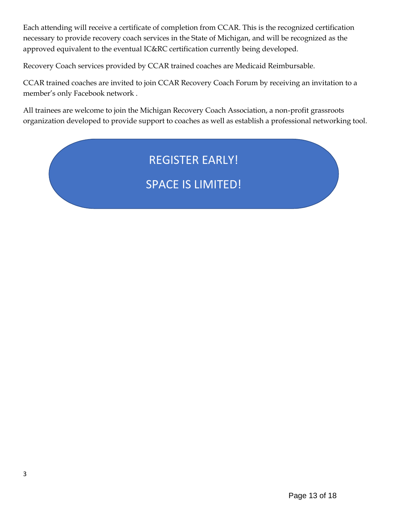Each attending will receive a certificate of completion from CCAR. This is the recognized certification necessary to provide recovery coach services in the State of Michigan, and will be recognized as the approved equivalent to the eventual IC&RC certification currently being developed.

Recovery Coach services provided by CCAR trained coaches are Medicaid Reimbursable.

CCAR trained coaches are invited to join CCAR Recovery Coach Forum by receiving an invitation to a member's only Facebook network .

All trainees are welcome to join the Michigan Recovery Coach Association, a non-profit grassroots organization developed to provide support to coaches as well as establish a professional networking tool.

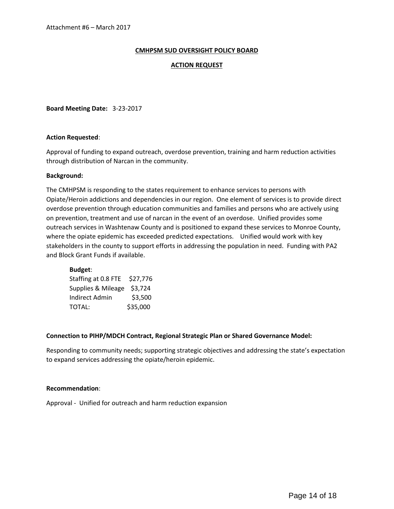#### **ACTION REQUEST**

**Board Meeting Date:** 3-23-2017

#### **Action Requested**:

Approval of funding to expand outreach, overdose prevention, training and harm reduction activities through distribution of Narcan in the community.

#### **Background:**

The CMHPSM is responding to the states requirement to enhance services to persons with Opiate/Heroin addictions and dependencies in our region. One element of services is to provide direct overdose prevention through education communities and families and persons who are actively using on prevention, treatment and use of narcan in the event of an overdose. Unified provides some outreach services in Washtenaw County and is positioned to expand these services to Monroe County, where the opiate epidemic has exceeded predicted expectations. Unified would work with key stakeholders in the county to support efforts in addressing the population in need. Funding with PA2 and Block Grant Funds if available.

#### **Budget**:

| Staffing at 0.8 FTE \$27,776 |          |  |
|------------------------------|----------|--|
| Supplies & Mileage \$3,724   |          |  |
| Indirect Admin               | \$3,500  |  |
| TOTAL:                       | \$35,000 |  |

#### **Connection to PIHP/MDCH Contract, Regional Strategic Plan or Shared Governance Model:**

Responding to community needs; supporting strategic objectives and addressing the state's expectation to expand services addressing the opiate/heroin epidemic.

#### **Recommendation**:

Approval - Unified for outreach and harm reduction expansion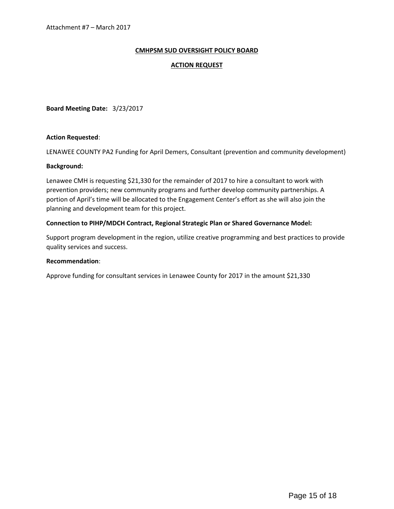#### **ACTION REQUEST**

**Board Meeting Date:** 3/23/2017

#### **Action Requested**:

LENAWEE COUNTY PA2 Funding for April Demers, Consultant (prevention and community development)

#### **Background:**

Lenawee CMH is requesting \$21,330 for the remainder of 2017 to hire a consultant to work with prevention providers; new community programs and further develop community partnerships. A portion of April's time will be allocated to the Engagement Center's effort as she will also join the planning and development team for this project.

#### **Connection to PIHP/MDCH Contract, Regional Strategic Plan or Shared Governance Model:**

Support program development in the region, utilize creative programming and best practices to provide quality services and success.

#### **Recommendation**:

Approve funding for consultant services in Lenawee County for 2017 in the amount \$21,330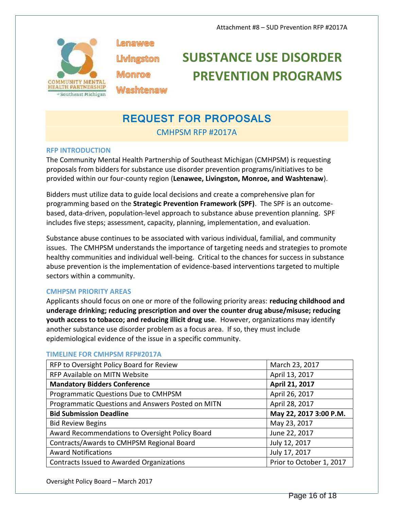

Lenawee Livingston **Monroe Washtenaw** 

# **SUBSTANCE USE DISORDER PREVENTION PROGRAMS**

# **REQUEST FOR PROPOSALS**

CMHPSM RFP #2017A

#### **RFP INTRODUCTION**

The Community Mental Health Partnership of Southeast Michigan (CMHPSM) is requesting proposals from bidders for substance use disorder prevention programs/initiatives to be provided within our four-county region (**Lenawee, Livingston, Monroe, and Washtenaw**).

Bidders must utilize data to guide local decisions and create a comprehensive plan for programming based on the **Strategic Prevention Framework (SPF)**. The SPF is an outcome based, data-driven, population-level approach to substance abuse prevention planning. SPF includes five steps; assessment, capacity, planning, implementation, and evaluation.

Substance abuse continues to be associated with various individual, familial, and community issues. The CMHPSM understands the importance of targeting needs and strategies to promote healthy communities and individual well-being. Critical to the chances for success in substance abuse prevention is the implementation of evidence-based interventions targeted to multiple sectors within a community.

#### **CMHPSM PRIORITY AREAS**

Applicants should focus on one or more of the following priority areas: **reducing childhood and underage drinking; reducing prescription and over the counter drug abuse/misuse; reducing youth access to tobacco; and reducing illicit drug use**. However, organizations may identify another substance use disorder problem as a focus area. If so, they must include epidemiological evidence of the issue in a specific community.

#### RFP to Oversight Policy Board for Review March 23, 2017 RFP Available on MITN Website April 13, 2017 **Mandatory Bidders Conference**  April 21, 2017 Programmatic Questions Due to CMHPSM April 26, 2017 Programmatic Questions and Answers Posted on MITN | April 28, 2017 **Bid Submission Deadline May 22, 2017 3:00 P.M.** Bid Review Begins May 23, 2017 Award Recommendations to Oversight Policy Board **June 22, 2017** Contracts/Awards to CMHPSM Regional Board July 12, 2017 Award Notifications **July 17, 2017** Contracts Issued to Awarded Organizations Prior to October 1, 2017

#### **TIMELINE FOR CMHPSM RFP#2017A**

Oversight Policy Board – March 2017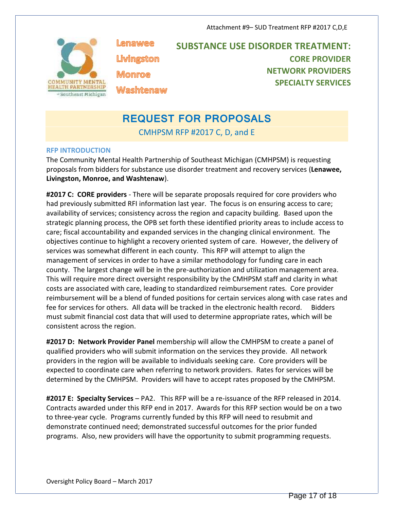

Lenawee Livingston Monroe

**SUBSTANCE USE DISORDER TREATMENT: CORE PROVIDER NETWORK PROVIDERS SPECIALTY SERVICES**

# **REQUEST FOR PROPOSALS**

CMHPSM RFP #2017 C, D, and E

#### **RFP INTRODUCTION**

The Community Mental Health Partnership of Southeast Michigan (CMHPSM) is requesting proposals from bidders for substance use disorder treatment and recovery services (**Lenawee, Livingston, Monroe, and Washtenaw**).

**#2017 C: CORE providers** - There will be separate proposals required for core providers who had previously submitted RFI information last year. The focus is on ensuring access to care; availability of services; consistency across the region and capacity building. Based upon the strategic planning process, the OPB set forth these identified priority areas to include access to care; fiscal accountability and expanded services in the changing clinical environment. The objectives continue to highlight a recovery oriented system of care. However, the delivery of services was somewhat different in each county. This RFP will attempt to align the management of services in order to have a similar methodology for funding care in each county. The largest change will be in the pre-authorization and utilization management area. This will require more direct oversight responsibility by the CMHPSM staff and clarity in what costs are associated with care, leading to standardized reimbursement rates. Core provider reimbursement will be a blend of funded positions for certain services along with case rates and fee for services for others. All data will be tracked in the electronic health record. Bidders must submit financial cost data that will used to determine appropriate rates, which will be consistent across the region.

**#2017 D: Network Provider Panel** membership will allow the CMHPSM to create a panel of qualified providers who will submit information on the services they provide. All network providers in the region will be available to individuals seeking care. Core providers will be expected to coordinate care when referring to network providers. Rates for services will be determined by the CMHPSM. Providers will have to accept rates proposed by the CMHPSM.

**#2017 E: Specialty Services** – PA2. This RFP will be a re-issuance of the RFP released in 2014. Contracts awarded under this RFP end in 2017. Awards for this RFP section would be on a two to three-year cycle. Programs currently funded by this RFP will need to resubmit and demonstrate continued need; demonstrated successful outcomes for the prior funded programs. Also, new providers will have the opportunity to submit programming requests.